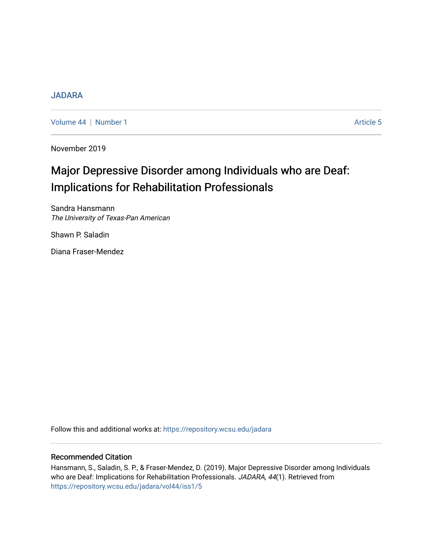### [JADARA](https://repository.wcsu.edu/jadara)

[Volume 44](https://repository.wcsu.edu/jadara/vol44) | [Number 1](https://repository.wcsu.edu/jadara/vol44/iss1) Article 5

November 2019

# Major Depressive Disorder among Individuals who are Deaf: Implications for Rehabilitation Professionals

Sandra Hansmann The University of Texas-Pan American

Shawn P. Saladin

Diana Fraser-Mendez

Follow this and additional works at: [https://repository.wcsu.edu/jadara](https://repository.wcsu.edu/jadara?utm_source=repository.wcsu.edu%2Fjadara%2Fvol44%2Fiss1%2F5&utm_medium=PDF&utm_campaign=PDFCoverPages)

### Recommended Citation

Hansmann, S., Saladin, S. P., & Fraser-Mendez, D. (2019). Major Depressive Disorder among Individuals who are Deaf: Implications for Rehabilitation Professionals. JADARA, 44(1). Retrieved from [https://repository.wcsu.edu/jadara/vol44/iss1/5](https://repository.wcsu.edu/jadara/vol44/iss1/5?utm_source=repository.wcsu.edu%2Fjadara%2Fvol44%2Fiss1%2F5&utm_medium=PDF&utm_campaign=PDFCoverPages)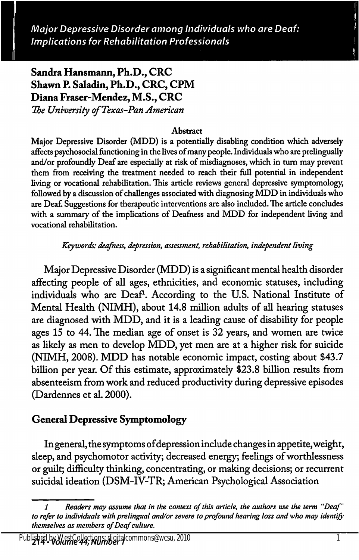Major Depressive Disorder among Individuals who are Deaf: Implications for Rehabilitation Professionals Hansmann et al.: Major Depressive Disorder among Individuals who are Deaf: Implica

## Sandra Hansmann, Ph.D., CRC Shawn P. Saladin, Ph.D., CRC, CPM Diana Fraser-Mendez, M.S., CRC

The University of Texas-Pan American

#### **Abstract**

Major Depressive Disorder (MDD) is a potentially disabling condition which adversely affects psychosocial functioning in the lives of many people. Individuals who are prelingually and/or profoundly Deaf are especially at risk of misdiagnoses, which in turn may prevent them from receiving the treatment needed to reach their full potential in independent living or vocational rehabilitation. This article reviews general depressive symptomology, followed by a discussion of challenges associated with diagnosing MDD in individuals who are Deaf. Suggestions for therapeutic interventions are also included. The article concludes with a summary of the implications of Deafness and MDD for independent living and vocational rehabilitation.

#### Keywords: deafness, depression, assessment, rehabilitation, independent living

Major Depressive Disorder (MDD) is a significant mental health disorder affecting people of all ages, ethnicities, and economic statuses, including individuals who are Deaf<sup>1</sup>. According to the U.S. National Institute of Mental Health (NIMH), about 14.8 million adults of all hearing statuses are diagnosed with MDD, and it is a leading cause of disability for people ages 15 to 44. The median age of onset is 32 years, and women are twice as likely as men to develop MDD, yet men are at a higher risk for suicide (NIMH, 2008). MDD has notable economic impact, costing about \$43.7 billion per year. Of this estimate, approximately \$23.8 billion results from absenteeism from work and reduced productivity during depressive episodes (Dardennes et al. 2000).

### General Depressive Symptomology

In general, the symptoms of depression include changes in appetite, weight, sleep, and psychomotor activity; decreased energy; feelings of worthlessness or guilt; difficulty thinking, concentrating, or making decisions; or recurrent suicidal ideation (DSM-IV-TR; American Psychological Association

<sup>1</sup> Readers may assume that in the context of this article, the authors use the term "Deaf to refer to individuals with prelingual and/or severe to profound hearing loss and who may identif themselves as members of Deaf culture.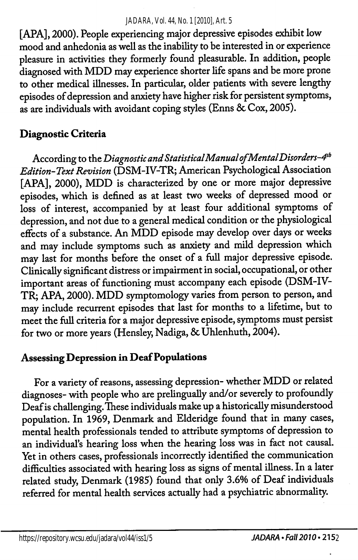#### *JADARA, Vol. 44, No. 1 [2010], Art. 5*

[APA], 2000). People experiencing major depressive episodes exhibit low mood and anhedonia as well as the inability to be interested in or experience pleasure in activities they formerly found pleasurable. In addition, people diagnosed with MDD may experience shorter life spans and be more prone to other medical illnesses. In particular, older patients with severe lengthy episodes of depression and anxiety have higher risk for persistent symptoms, as are individuals with avoidant coping styles (Enns & Cox, 2005).

### Diagnostic Criteria

According to the Diagnostic and Statistical Manual of Mental Disorders-4<sup>th</sup> Edition-Text Revision (DSM-IV-TR; American Psychological Association [APA], 2000), MDD is characterized by one or more major depressive episodes, which is defined as at least two weeks of depressed mood or loss of interest, accompanied by at least four additional symptoms of depression, and not due to a general medical condition or the physiological effects of a substance. An MDD episode may develop over days or weeks and may include symptoms such as anxiety and mild depression which may last for months before the onset of a full major depressive episode. Clinically significant distress or impairment in social, occupational, or other important areas of functioning must accompany each episode (DSM-IV-TR; APA, 2000). MDD symptomology varies from person to person, and may include recurrent episodes that last for months to a lifetime, but to meet the full criteria for a major depressive episode, symptoms must persist for two or more years (Hensley, Nadiga, & Uhlenhuth, 2004).

### Assessing Depression in Deaf Populations

For a variety of reasons, assessing depression- whether MDD or related diagnoses- with people who are prelingually and/or severely to profoundly Deaf is challenging. These individuals make up a historically misunderstood population. In 1969, Denmark and Elderidge found that in many cases, mental health professionals tended to attribute symptoms of depression to an individual's hearing loss when the hearing loss was in fact not causal. Yet in others cases, professionals incorrectly identified the communication difficulties associated with hearing loss as signs of mental illness. In a later related study, Denmark (1985) found that only 3.6% of Deaf individuals referred for mental health services actually had a psychiatric abnormality.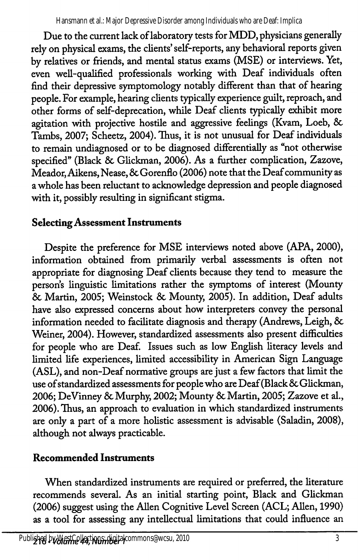Due to the current lack of laboratory tests for MDD, physicians generally rely on physical exams, the clients' self-reports, any behavioral reports given by relatives or friends, and mental status exams (MSE) or interviews. Yet, even well-qualified professionals working with Deaf individuals often find their depressive symptomology notably different than that of hearing people. For example, hearing clients typically experience guilt, reproach, and other forms of self-deprecation, while Deaf clients typically exhibit more agitation with projective hostile and aggressive feelings (Kvam, Loeb, 8c Tambs, 2007; Scheetz, 2004). Thus, it is not unusual for Deaf individuals to remain undiagnosed or to be diagnosed differentially as "not otherwise specified" (Black & Glickman, 2006). As a further complication, Zazove, Meador, Aikens, Nease, & Gorenflo (2006) note that the Deaf community as a whole has been reluctant to acknowledge depression and people diagnosed with it, possibly resulting in significant stigma.

# Selecting Assessment Instruments

Despite the preference for MSE interviews noted above (APA, 2000), information obtained from primarily verbal assessments is often not appropriate for diagnosing Deaf clients because they tend to measure the person's linguistic limitations rather the symptoms of interest (Mounty 8c Martin, 2005; Weinstock 8c Mounty, 2005). In addition. Deaf adults have also expressed concerns about how interpreters convey the personal information needed to facilitate diagnosis and therapy (Andrews, Leigh, 8c Weiner, 2004). However, standardized assessments also present difficulties for people who are Deaf. Issues such as low English literacy levels and limited life experiences, limited accessibility in American Sign Language (ASL), and non-Deaf normative groups are just a few factors that limit the use of standardized assessments for people who are Deaf (Black 8c Glickman, 2006; DeVinney 8c Murphy, 2002; Mounty 8c Martin, 2005; Zazove et al., 2006). Thus, an approach to evaluation in which standardized instruments are only a part of a more holistic assessment is advisable (Saladin, 2008), although not always practicable.

# Recommended Instruments

When standardized instruments are required or preferred, the literature recommends several. As an initial starting point. Black and Glickman (2006) suggest using the Allen Cognitive Level Screen (ACL; Allen, 1990) as a tool for assessing any intellectual limitations that could influence an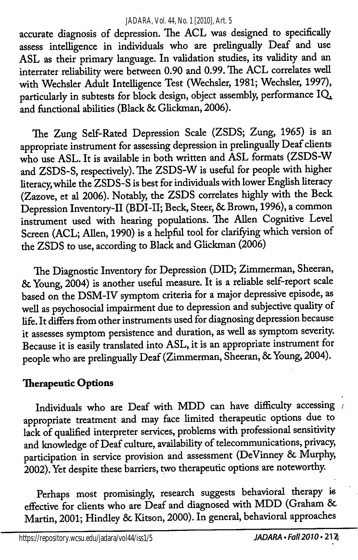#### *JADARA, Vol. 44, No. 1 [2010], Art. 5*

accurate diagnosis of depression. The ACL was designed to specifically assess intelligence in individuals who are prelingually Deaf and use ASL as their primary language. In validation studies, its validity and an interrater reliability were between 0.90 and 0.99. The ACL correlates well with Wechsler Adult Intelligence Test (Wechsler, 1981; Wechsler, 1997), particularly in subtests for block design, object assembly, performance  $IQ_1$ , and fimctional abilities (Black 8c Glickman, 2006).

The Zung Self-Rated Depression Scale (ZSDS; Zung, 1965) is an appropriate instrument for assessing depression in prelingually Deaf clients who use ASL. It is available in both written and ASL formats (ZSDS-W and ZSDS-S, respectively). The ZSDS-W is useful for people with higher literacy, while the ZSDS-S is best for individuals with lower English literacy (Zazove, et al 2006). Notably, the ZSDS correlates highly with the Beck Depression Inventory-II (BDI-II; Beck, Steer, & Brown, 1996), a common instrument used with hearing populations. The Allen Cogmtive Level Screen (ACL; Allen, 1990) is a helpful tool for clarifying which version of the ZSDS to use, according to Black and Glickman (2006)

The Diagnostic Inventory for Depression (DID; Zimmerman, Sheeran, 8c Young, 2004) is another useful measure. It is a reliable self-report scale based on the DSM-IV symptom criteria for a major depressive episode, as well as psychosocial impairment due to depression and subjective quality of life. It differs from other instruments used for diagnosing depression because it assesses symptom persistence and duration, as well as symptom severity. Because it is easily translated into ASL, it is an appropriate instrument for people who are prelingually Deaf (Zimmerman, Sheeran, & Young, 2004).

### Therapeutic Options

Individuals who are Deaf with MDD can have difficulty accessing appropriate treatment and may face limited therapeutic options due to lack of qualified interpreter services, problems with professional sensitivity and knowledge of Deaf culture, availability of telecommunications, privacy, participation in service provision and assessment (DeVinney & Murphy, 2002). Yet despite these barriers, two therapeutic options are noteworthy.

Perhaps most promisingly, research suggests behavioral therapy is effective for clients who are Deaf and diagnosed with MDD (Graham & Martin, 2001; Hindley 8c Kitson, 2000). In general, behavioral approaches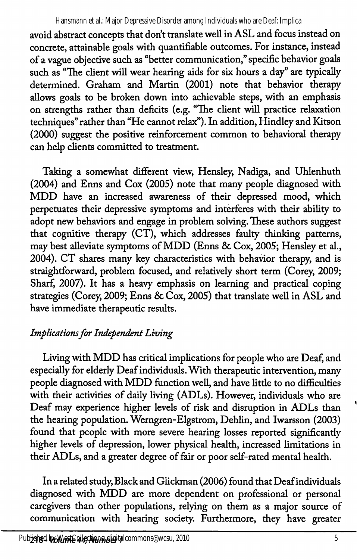avoid abstract concepts that don't translate well in ASL and focus instead on concrete, attainable goals with quantifiable outcomes. For instance, instead of a vague objective such as "better communication," specific behavior goals such as "The client will wear hearing aids for six hours a day" are typically determined. Graham and Martin (2001) note that behavior therapy allows goals to be broken down into achievable steps, with an emphasis on strengths rather than deficits (e.g. "The client will practice relaxation techniques" rather than "He cannot relax"). In addition, Hindley and Kitson (2000) suggest the positive reinforcement common to behavioral therapy can help clients committed to treatment.

Taking a somewhat different view, Hensley, Nadiga, and Uhlenhuth (2004) and Enns and Cox (2005) note that many people diagnosed with MDD have an increased awareness of their depressed mood, which perpetuates their depressive symptoms and interferes with their ability to adopt new behaviors and engage in problem solving. These authors suggest that cognitive therapy (CT), which addresses faulty thinking patterns, may best alleviate symptoms of MDD (Enns & Cox, 2005; Hensley et al., 2004). CT shares many key characteristics with behawor therapy, and is straightforward, problem focused, and relatively short term (Corey, 2009; Sharf, 2007). It has a heavy emphasis on learning and practical coping strategies (Corey, 2009; Enns & Cox, 2005) that translate well in ASL and have immediate therapeutic results.

# Implications for Independent Living

Living with MDD has critical implications for people who are Deaf, and especially for elderly Deaf individuals. With therapeutic intervention, many people diagnosed with MDD function well, and have litde to no difficulties with their activities of daily living (ADLs). However, individuals who are Deaf may experience higher levels of risk and disruption in ADLs than the hearing population. Wemgren-Elgstrom, Dehlin, and Iwarsson (2003) found that people with more severe hearing losses reported significantly higher levels of depression, lower physical health, increased limitations in their ADLs, and a greater degree of fair or poor self-rated mental health.

In a related study. Black and Glickman (2006) found that Deaf individuals diagnosed with MDD are more dependent on professional or personal caregivers than other populations, relying on them as a major source of communication with hearing society. Furthermore, they have greater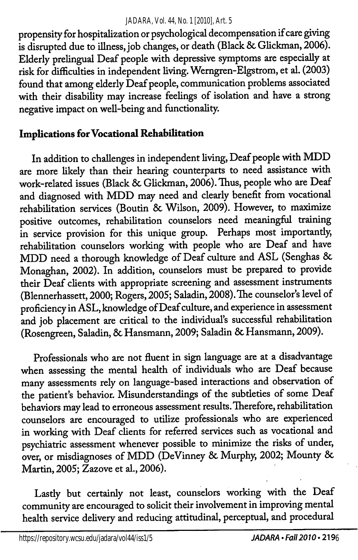#### *JADARA, Vol. 44, No. 1 [2010], Art. 5*

propensity for hospitalization or psychological decompensation if care giving is disrupted due to illness, job changes, or death (Black & Glickman, 2006). Elderly prelingual Deaf people with depressive symptoms are especially at risk for difficulties in independent living. Werngren-Elgstrom, et al. (2003) found that among elderly Deaf people, communication problems associated with their disability may increase feelings of isolation and have a strong negative impact on well-being and functionality.

### Implications for Vocational Rehabilitation

In addition to challenges in independent living. Deaf people with MDD are more likely than their hearing counterparts to need assistance with work-related issues (Black & Glickman, 2006). Thus, people who are Deaf and diagnosed with MDD may need and clearly benefit from vocational rehabilitation services (Boutin 8c Wilson, 2009). However, to maximize positive outcomes, rehabilitation counselors need meaningfiil training in service provision for this unique group. Perhaps most importantly, rehabilitation counselors working with people who are Deaf and have MDD need a thorough knowledge of Deaf culture and ASL (Senghas & Monaghan, 2002). In addition, counselors must be prepared to provide their Deaf clients with appropriate screening and assessment instruments (Blennerhassett, 2000; Rogers, 2005; Saladin, 2008). The counselor's level of proficiency in ASL, knowledge of Deaf culture, and experience in assessment and job placement are critical to the individual's successful rehabilitation (Rosengreen, Saladin, 8c Hansmann, 2009; Saladin 8c Hansmann, 2009).

Professionals who are not fluent in sign language are at a disadvantage when assessing the mental health of individuals who are Deaf because many assessments rely on language-based interactions and observation of the patient's behavior. Misunderstandings of the subtleties of some Deaf behaviors may lead to erroneous assessment results. Therefore, rehabilitation counselors are encouraged to utilize professionals who are experienced in working with Deaf clients for referred services such as vocational and psychiatric assessment whenever possible to minimize the risks of under, over, or misdiagnoses of MDD (DeVinney 8c Murphy, 2002; Mounty 8c Martin, 2005; Zazove et al., 2006).

Lastly but certainly not least, counselors working with the Deaf community are encouraged to solicit their involvement in improving mental health service delivery and reducing attitudinal, perceptual, and procedural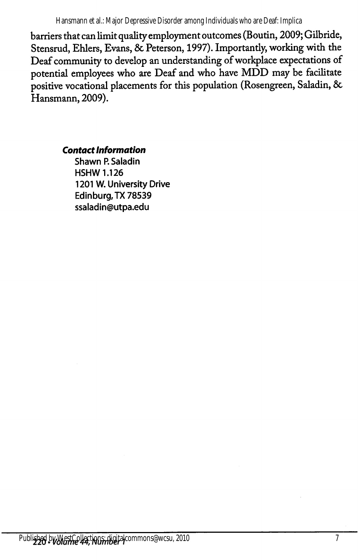Hansmann et al.: Major Depressive Disorder among Individuals who are Deaf: Implica

barriers that can limit quality employment outcomes (Boutin, 2009; Gilbride, Stensrud, Ehlers, Evans, & Peterson, 1997). Importantly, working with the Deaf community to develop an understanding of workplace expectations of potential employees who are Deaf and who have MDD may be facilitate positive vocational placements for this population (Rosengreen, Saladin, & Hansmann, 2009).

Contact Information

Shawn P. Saladin HSHW 1.126 1201 W. University Drive Edinburg,TX 78539 ssaladin@utpa.edu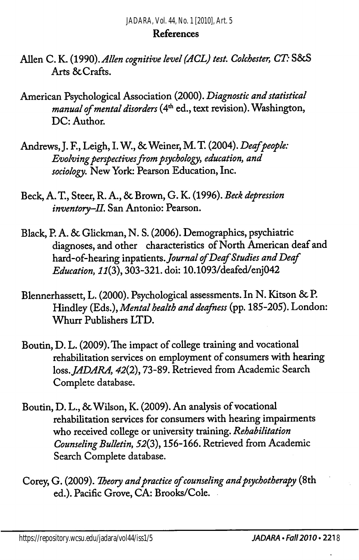#### References

- Allen C. K. (1990). Allen cognitive level (ACL) test. Colchester, CT: S&S Arts ScCrafts.
- American Psychological Association (2000). Diagnostic and statistical manual of mental disorders ( $4<sup>th</sup>$  ed., text revision). Washington, DC: Author.
- Andrews, J. F., Leigh, I. W., & Weiner, M. T. (2004). Deaf people: Evolving perspectives from psychology, education, and sociology. New York: Pearson Education, Inc.
- Beck, A. T., Steer, R. A., 8c Brown, G. K. (1996). Beck depression inventory-II. San Antonio: Pearson.
- Black, P. A. 8c Glickman, N. S. (2006). Demographics, psychiatric diagnoses, and other characteristics of North American deaf and hard-of-hearing inpatients. Journal of Deaf Studies and Deaf Education, 11(3), 303-321. doi: 10.1093/deafed/enj042
- Blennerhassett, L. (2000). Psychological assessments. In N. Kitson & P. Hindley (Eds.), Mental health and deafness (pp. 185-205). London: Whurr Publishers LTD.
- Boutin, D. L. (2009). The impact of college training and vocational rehabilitation services on employment of consumers with hearing loss. JADARA, 42(2), 73-89. Retrieved from Academic Search Complete database.
- Boutin, D. L., 8c Wilson, K. (2009). An analysis of vocational rehabilitation services for consumers with hearing impairments who received college or university training. Rehabilitation Counseling Bulletin, 52(3), 156-166. Retrieved from Academic Search Complete database.
- Corey, G. (2009). Theory and practice of counseling and psychotherapy (8th ed.). Pacific Grove, CA: Brooks/Cole.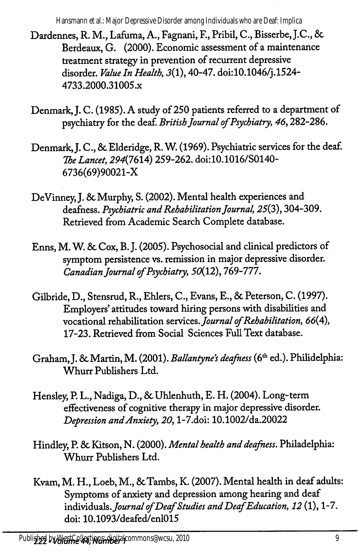Hansmann et al.: Major Depressive Disorder among Individuals who are Deaf: Implica

- Dardennes, R. M., Lafuma, A., Fagnani, F., Pribil, C., Bisserbe, J.C., 6c Berdeaux, G. (2000). Economic assessment of a maintenance treatment strategy in prevention of recurrent depressive disorder. Value In Health, 3(1), 40-47. doi:10.1046/j.1524-4733.2000.31005.x
- Denmark, J. C. (1985). A study of 250 patients referred to a department of psychiatry for the deaf. British Journal of Psychiatry, 46,282-286.
- Denmark, J. C., & Elderidge, R. W. (1969). Psychiatric services for the deaf. The Lancet, 294(7614) 259-262. doi:10.1016/S0140-6736(69)90021-X
- DeVinney, J. & Murphy, S. (2002). Mental health experiences and deafness. Psychiatric and Rehabilitation Journal, 25(3), 304-309. Retrieved from Academic Search Complete database.
- Enns, M. W. 6c Cox, B.}. (2005). Psychosocial and clinical predictors of symptom persistence vs. remission in major depressive disorder. Canadian Journal of Psychiatry, 50(12), 769-777.
- Gilbride, D., Stensrud, R., Ehlers, C., Evans, E., 6c Peterson, C. (1997). Employers' attitudes toward hiring persons with disabilities and vocational rehabilitation services. Journal of Rehabilitation, 66(4), 17-23. Retrieved from Social Sciences Full Text database.
- Graham, J. & Martin, M. (2001). Ballantyne's deafness (6th ed.). Philidelphia: Whurr Publishers Ltd.
- Hensley, P. L., Nadiga, D., & Uhlenhuth, E. H. (2004). Long-term effectiveness of cognitive therapy in major depressive disorder. Depression and Anxiety, 20, l-7.doi: 10.1002/da.20022
- Hindley, P. & Kitson, N. (2000). Mental health and deafness. Philadelphia: Whurr Publishers Ltd.
- Kvam, M. H., Loeb, M., & Tambs, K. (2007). Mental health in deaf adults: Symptoms of anxiety and depression among hearing and deaf individuals. Journal of Deaf Studies and Deaf Education, 12 (1), 1-7. doi: 10.1093/deafed/enl015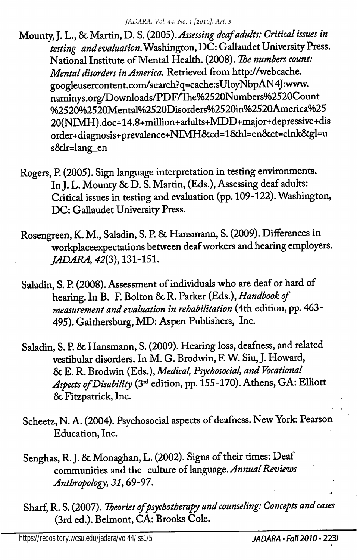- Mounty, J. L., & Martin, D. S. (2005). Assessing deaf adults: Critical issues in testing and evaluation. Washington,  $\breve{\textrm{DC}}$ : Gallaudet University Press. National Institute of Mental Health. (2008). The numbers count: Mental disorders in America. Retrieved from http://webcache. googleusercontent.com/search?q=cache:sUloyNbpAN4J:www. naminys.org/Downloads/PDF/Ihe%2520Numbers%2520Count %2520%2520Mental%2520Disorders%2520in%2520America%25 20(NIMH).doc+14.8+milhon+adults+MDD+major+depressive+dis order+diagnosis+prevalence+NIMH6ccd=16dil=en6cct=clnk6cgl=u s6dr=lang\_en
- Rogers, P. (2005). Sign language interpretation in testing environments. In J. L. Mounty & D. S. Martin, (Eds.), Assessing deaf adults: Critical issues in testing and evaluation (pp. 109-122). Washington, DC: Gallaudet University Press.
- Rosengreen, K. M., Saladin, S. P. & Hansmann, S. (2009). Differences in workplaceexpectations between deaf workers and hearing employers. JADARA, 42(3), 131-151.
- Saladin, S. P. (2008). Assessment of individuals who are deaf or hard of hearing. In B. F. Bolton & R. Parker (Eds.), Handbook of measurement and evaluation in rehabilitation (4th edition, pp. 463- 495). Gaithersburg, MD: Aspen Publishers, Inc.
- Saladin, S. P. 6c Hansmann, S. (2009). Hearing loss, deafness, and related vestibular disorders. In M. G. Brodwin, F. W^ Siu, J. Howard, 6c E. R. Brodwin (Eds.), Medical, Psychosocial, and Vocational Aspects of Disability (3<sup>rd</sup> edition, pp. 155-170). Athens, GA: Elliott 6c Fitzpatrick, Inc.
- Scheetz, N. A. (2004). Psychosocial aspects of deafness. New York: Pearson Education, Inc.
- Senghas, R. J. & Monaghan, L. (2002). Signs of their times: Deaf communities and the culture of language. Annual Reviews Anthropology, 31,69-97.
- Sharf, R. S. (2007). Theories of psychotherapy and counseling: Concepts and cases (3rd ed.). Belmont, CA: Brooks Cole.